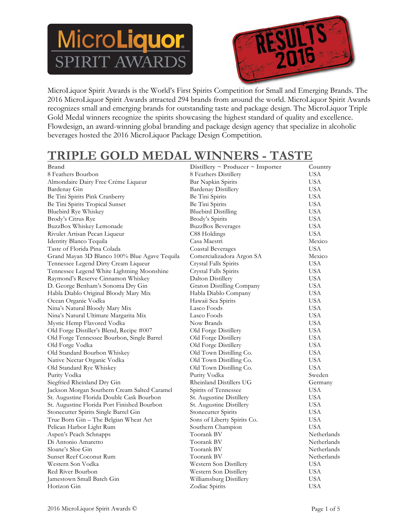# MicroLiquor **RIT AWARI**



MicroLiquor Spirit Awards is the World's First Spirits Competition for Small and Emerging Brands. The 2016 MicroLiquor Spirit Awards attracted 294 brands from around the world. MicroLiquor Spirit Awards recognizes small and emerging brands for outstanding taste and package design. The MicroLiquor Triple Gold Medal winners recognize the spirits showcasing the highest standard of quality and excellence. Flowdesign, an award-winning global branding and package design agency that specialize in alcoholic beverages hosted the 2016 MicroLiquor Package Design Competition.

#### **TRIPLE GOLD MEDAL WINNERS - TASTE**

| <b>Brand</b>                                  | Distillery $\sim$ Producer $\sim$ Importer | Country     |
|-----------------------------------------------|--------------------------------------------|-------------|
| 8 Feathers Bourbon                            | 8 Feathers Distillery                      | USA         |
| Almondaire Dairy Free Créme Liqueur           | Bar Napkin Spirits                         | <b>USA</b>  |
| Bardenay Gin                                  | <b>Bardenay Distillery</b>                 | <b>USA</b>  |
| Be Tini Spirits Pink Cranberry                | Be Tini Spirits                            | USA         |
| Be Tini Spirits Tropical Sunset               | Be Tini Spirits                            | USA         |
| Bluebird Rye Whiskey                          | <b>Bluebird Distilling</b>                 | USA         |
| Brody's Citrus Rye                            | Brody's Spirits                            | USA         |
| BuzzBox Whiskey Lemonade                      | <b>BuzzBox Beverages</b>                   | <b>USA</b>  |
| Rivulet Artisan Pecan Liqueur                 | C88 Holdings                               | <b>USA</b>  |
| Identity Blanco Tequila                       | Casa Maestri                               | Mexico      |
| Taste of Florida Pina Colada                  | Coastal Beverages                          | USA         |
| Grand Mayan 3D Blanco 100% Blue Agave Tequila | Comercializadora Argon SA                  | Mexico      |
| Tennessee Legend Dirty Cream Liqueur          | Crystal Falls Spirits                      | <b>USA</b>  |
| Tennessee Legend White Lightning Moonshine    | Crystal Falls Spirits                      | USA         |
| Raymond's Reserve Cinnamon Whiskey            | Dalton Distillery                          | USA         |
| D. George Benham's Sonoma Dry Gin             | Graton Distilling Company                  | USA         |
| Habla Diablo Original Bloody Mary Mix         | Habla Diablo Company                       | USA         |
| Ocean Organic Vodka                           | Hawaii Sea Spirits                         | USA         |
| Nina's Natural Bloody Mary Mix                | Lasco Foods                                | <b>USA</b>  |
| Nina's Natural Ultimate Margarita Mix         | Lasco Foods                                | <b>USA</b>  |
| Mystic Hemp Flavored Vodka                    | Now Brands                                 | USA         |
| Old Forge Distiller's Blend, Recipe #007      | Old Forge Distillery                       | USA         |
| Old Forge Tennessee Bourbon, Single Barrel    | Old Forge Distillery                       | USA         |
| Old Forge Vodka                               | Old Forge Distillery                       | USA         |
| Old Standard Bourbon Whiskey                  | Old Town Distilling Co.                    | USA         |
| Native Nectar Organic Vodka                   | Old Town Distilling Co.                    | USA         |
| Old Standard Rye Whiskey                      | Old Town Distilling Co.                    | <b>USA</b>  |
| Purity Vodka                                  | Purity Vodka                               | Sweden      |
| Siegfried Rheinland Dry Gin                   | Rheinland Distillers UG                    | Germany     |
| Jackson Morgan Southern Cream Salted Caramel  | Spirits of Tennessee                       | <b>USA</b>  |
| St. Augustine Florida Double Cask Bourbon     | St. Augustine Distillery                   | USA         |
| St. Augustine Florida Port Finished Bourbon   | St. Augustine Distillery                   | USA         |
| Stonecutter Spirits Single Barrel Gin         | Stonecutter Spirits                        | <b>USA</b>  |
| True Born Gin - The Belgian Wheat Act         | Sons of Liberty Spirits Co.                | USA         |
| Pelican Harbor Light Rum                      | Southern Champion                          | USA         |
| Aspen's Peach Schnapps                        | Toorank BV                                 | Netherlands |
| Di Antonio Amaretto                           | Toorank BV                                 | Netherlands |
| Sloane's Sloe Gin                             | Toorank BV                                 | Netherlands |
| Sunset Reef Coconut Rum                       | Toorank BV                                 | Netherlands |
| Western Son Vodka                             | Western Son Distillery                     | USA         |
| Red River Bourbon                             | Western Son Distillery                     | <b>USA</b>  |
| Jamestown Small Batch Gin                     | Williamsburg Distillery                    | USA         |
| Horizon Gin                                   | Zodiac Spirits                             | USA         |
|                                               |                                            |             |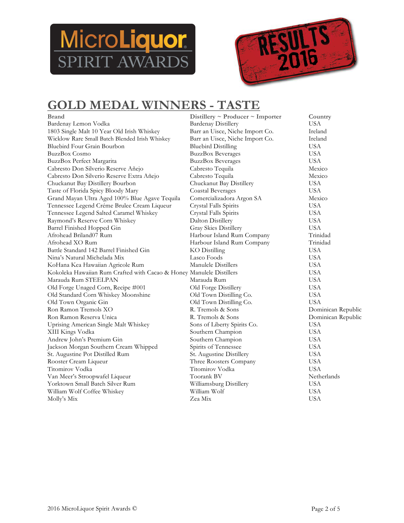



#### **GOLD MEDAL WINNERS - TASTE**

| <b>Brand</b>                                                         | Distillery $\sim$ Producer $\sim$ Importer | Country            |
|----------------------------------------------------------------------|--------------------------------------------|--------------------|
| Bardenay Lemon Vodka                                                 | <b>Bardenay Distillery</b>                 | <b>USA</b>         |
| 1803 Single Malt 10 Year Old Irish Whiskey                           | Barr an Uisce, Niche Import Co.            | Ireland            |
| Wicklow Rare Small Batch Blended Irish Whiskey                       | Barr an Uisce, Niche Import Co.            | Ireland            |
| Bluebird Four Grain Bourbon                                          | <b>Bluebird Distilling</b>                 | <b>USA</b>         |
| <b>BuzzBox Cosmo</b>                                                 | <b>BuzzBox Beverages</b>                   | <b>USA</b>         |
| BuzzBox Perfect Margarita                                            | <b>BuzzBox Beverages</b>                   | <b>USA</b>         |
| Cabresto Don Silverio Reserve Añejo                                  | Cabresto Tequila                           | Mexico             |
| Cabresto Don Silverio Reserve Extra Añejo                            | Cabresto Tequila                           | Mexico             |
| Chuckanut Bay Distillery Bourbon                                     | Chuckanut Bay Distillery                   | <b>USA</b>         |
| Taste of Florida Spicy Bloody Mary                                   | <b>Coastal Beverages</b>                   | <b>USA</b>         |
| Grand Mayan Ultra Aged 100% Blue Agave Tequila                       | Comercializadora Argon SA                  | Mexico             |
| Tennessee Legend Créme Brulee Cream Liqueur                          | Crystal Falls Spirits                      | <b>USA</b>         |
| Tennessee Legend Salted Caramel Whiskey                              | Crystal Falls Spirits                      | <b>USA</b>         |
| Raymond's Reserve Corn Whiskey                                       | Dalton Distillery                          | <b>USA</b>         |
| Barrel Finished Hopped Gin                                           | Gray Skies Distillery                      | <b>USA</b>         |
| Afrohead Briland07 Rum                                               | Harbour Island Rum Company                 | Trinidad           |
| Afrohead XO Rum                                                      | Harbour Island Rum Company                 | Trinidad           |
| Battle Standard 142 Barrel Finished Gin                              | KO Distilling                              | <b>USA</b>         |
| Nina's Natural Michelada Mix                                         | Lasco Foods                                | <b>USA</b>         |
| KoHana Kea Hawaiian Agricole Rum                                     | Manulele Distillers                        | <b>USA</b>         |
| Kokoleka Hawaiian Rum Crafted with Cacao & Honey Manulele Distillers |                                            | <b>USA</b>         |
| Marauda Rum STEELPAN                                                 | Marauda Rum                                | <b>USA</b>         |
| Old Forge Unaged Corn, Recipe #001                                   | Old Forge Distillery                       | <b>USA</b>         |
| Old Standard Corn Whiskey Moonshine                                  | Old Town Distilling Co.                    | <b>USA</b>         |
| Old Town Organic Gin                                                 | Old Town Distilling Co.                    | <b>USA</b>         |
| Ron Ramon Tremols XO                                                 | R. Tremols & Sons                          | Dominican Republic |
| Ron Ramon Reserva Unica                                              | R. Tremols & Sons                          | Dominican Republic |
| Uprising American Single Malt Whiskey                                | Sons of Liberty Spirits Co.                | <b>USA</b>         |
| XIII Kings Vodka                                                     | Southern Champion                          | <b>USA</b>         |
| Andrew John's Premium Gin                                            | Southern Champion                          | <b>USA</b>         |
| Jackson Morgan Southern Cream Whipped                                | Spirits of Tennessee                       | <b>USA</b>         |
| St. Augustine Pot Distilled Rum                                      | St. Augustine Distillery                   | <b>USA</b>         |
| Rooster Cream Liqueur                                                | Three Roosters Company                     | <b>USA</b>         |
| Titomirov Vodka                                                      | Titomirov Vodka                            | <b>USA</b>         |
| Van Meer's Stroopwafel Liqueur                                       | Toorank BV                                 | Netherlands        |
| Yorktown Small Batch Silver Rum                                      | Williamsburg Distillery                    | <b>USA</b>         |
| William Wolf Coffee Whiskey                                          | William Wolf                               | <b>USA</b>         |
| Molly's Mix                                                          | Zea Mix                                    | <b>USA</b>         |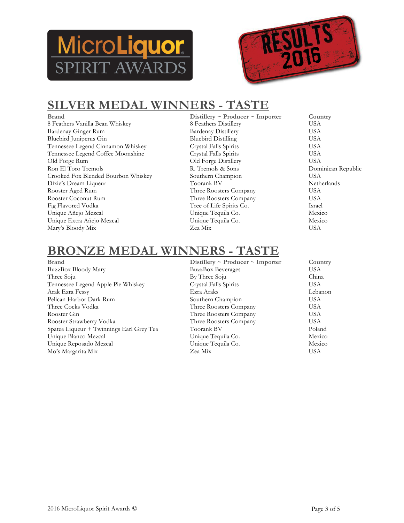



### **SILVER MEDAL WINNERS - TASTE**

**Brand Distillery ~ Producer ~ Importer Country** 8 Feathers Vanilla Bean Whiskey 8 8 Feathers Distillery USA<br>Bardenay Ginger Rum Bardenay Distillery USA Bardenay Ginger Rum Bardenay Distillery USA<br>Bluebird Juniperus Gin Bluebird Distilling USA Bluebird Juniperus Gin Tennessee Legend Cinnamon Whiskey Crystal Falls Spirits USA Tennessee Legend Coffee Moonshine Crystal Falls Spirits USA<br>Old Forge Rum Old Forge Distillery USA Old Forge Rum Old Forge Distillery USA Crooked Fox Blended Bourbon Whiskey Southern Champion USA Dixie's Dream Liqueur Toorank BV Netherlands Rooster Aged Rum Three Roosters Company USA Rooster Coconut Rum Three Roosters Company Fig Flavored Vodka Tree of Life Spirits Co. Israel Unique Añejo Mezcal Unique Tequila Co. Mexico Unique Extra Añejo Mezcal Unique Tequila Co. Mexico Mary's Bloody Mix Zea Mix USA

- 
- Dominican Republic

#### **BRONZE MEDAL WINNERS - TAS**

- **Brand Distillery ~ Producer ~ Importer Country BuzzBox Bloody Mary BuzzBox Beverages COUNTY COUNTY BUZZBOX Beverages COUNTY** BuzzBox Bloody Mary Three Soju China Tennessee Legend Apple Pie Whiskey Crystal Falls Spirits USA Arak Ezra Fessy Ezra Araks Lebanon Pelican Harbor Dark Rum Southern Champion USA Three Cocks Vodka Three Roosters Company USA Rooster Gin Three Roosters Company USA Rooster Strawberry Vodka Three Roosters Company USA Spatea Liqueur + Twinnings Earl Grey Tea Toorank BV Poland Unique Blanco Mezcal Unique Tequila Co. Mexico Unique Reposado Mezcal Unique Tequila Co. Mexico Mo's Margarita Mix Zea Mix USA
-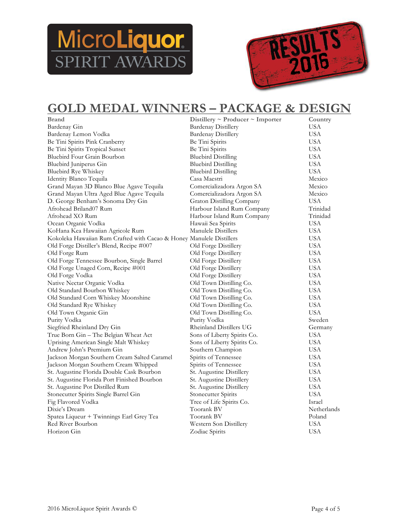



#### **GOLD MEDAL WINNERS – PACKAGE & DESIGN**

| <b>Brand</b>                                                         | Distillery $\sim$ Producer $\sim$ Importer | Country     |
|----------------------------------------------------------------------|--------------------------------------------|-------------|
| Bardenay Gin                                                         | <b>Bardenay Distillery</b>                 | <b>USA</b>  |
| Bardenay Lemon Vodka                                                 | <b>Bardenay Distillery</b>                 | <b>USA</b>  |
| Be Tini Spirits Pink Cranberry                                       | Be Tini Spirits                            | <b>USA</b>  |
| Be Tini Spirits Tropical Sunset                                      | Be Tini Spirits                            | <b>USA</b>  |
| Bluebird Four Grain Bourbon                                          | <b>Bluebird Distilling</b>                 | <b>USA</b>  |
| Bluebird Juniperus Gin                                               | <b>Bluebird Distilling</b>                 | <b>USA</b>  |
| Bluebird Rye Whiskey                                                 | <b>Bluebird Distilling</b>                 | <b>USA</b>  |
| Identity Blanco Tequila                                              | Casa Maestri                               | Mexico      |
| Grand Mayan 3D Blanco Blue Agave Tequila                             | Comercializadora Argon SA                  | Mexico      |
| Grand Mayan Ultra Aged Blue Agave Tequila                            | Comercializadora Argon SA                  | Mexico      |
| D. George Benham's Sonoma Dry Gin                                    | Graton Distilling Company                  | USA         |
| Afrohead Briland07 Rum                                               | Harbour Island Rum Company                 | Trinidad    |
| Afrohead XO Rum                                                      | Harbour Island Rum Company                 | Trinidad    |
| Ocean Organic Vodka                                                  | Hawaii Sea Spirits                         | USA         |
| KoHana Kea Hawaiian Agricole Rum                                     | Manulele Distillers                        | USA         |
| Kokoleka Hawaiian Rum Crafted with Cacao & Honey Manulele Distillers |                                            | <b>USA</b>  |
| Old Forge Distiller's Blend, Recipe #007                             | Old Forge Distillery                       | <b>USA</b>  |
| Old Forge Rum                                                        | Old Forge Distillery                       | USA         |
| Old Forge Tennessee Bourbon, Single Barrel                           | Old Forge Distillery                       | <b>USA</b>  |
| Old Forge Unaged Corn, Recipe #001                                   | Old Forge Distillery                       | <b>USA</b>  |
| Old Forge Vodka                                                      | Old Forge Distillery                       | USA         |
| Native Nectar Organic Vodka                                          | Old Town Distilling Co.                    | <b>USA</b>  |
| Old Standard Bourbon Whiskey                                         | Old Town Distilling Co.                    | USA         |
| Old Standard Corn Whiskey Moonshine                                  | Old Town Distilling Co.                    | <b>USA</b>  |
| Old Standard Rye Whiskey                                             | Old Town Distilling Co.                    | USA         |
| Old Town Organic Gin                                                 | Old Town Distilling Co.                    | <b>USA</b>  |
| Purity Vodka                                                         | Purity Vodka                               | Sweden      |
| Siegfried Rheinland Dry Gin                                          | Rheinland Distillers UG                    | Germany     |
| True Born Gin - The Belgian Wheat Act                                | Sons of Liberty Spirits Co.                | <b>USA</b>  |
| Uprising American Single Malt Whiskey                                | Sons of Liberty Spirits Co.                | USA         |
| Andrew John's Premium Gin                                            | Southern Champion                          | <b>USA</b>  |
| Jackson Morgan Southern Cream Salted Caramel                         | Spirits of Tennessee                       | USA         |
| Jackson Morgan Southern Cream Whipped                                | Spirits of Tennessee                       | <b>USA</b>  |
| St. Augustine Florida Double Cask Bourbon                            | St. Augustine Distillery                   | <b>USA</b>  |
| St. Augustine Florida Port Finished Bourbon                          | St. Augustine Distillery                   | USA         |
| St. Augustine Pot Distilled Rum                                      | St. Augustine Distillery                   | <b>USA</b>  |
| Stonecutter Spirits Single Barrel Gin                                | Stonecutter Spirits                        | USA         |
| Fig Flavored Vodka                                                   | Tree of Life Spirits Co.                   | Israel      |
| Dixie's Dream                                                        | Toorank BV                                 | Netherlands |
| Spatea Liqueur + Twinnings Earl Grey Tea                             | Toorank BV                                 | Poland      |
| Red River Bourbon                                                    | Western Son Distillery                     | <b>USA</b>  |
| Horizon Gin                                                          | Zodiac Spirits                             | USA         |